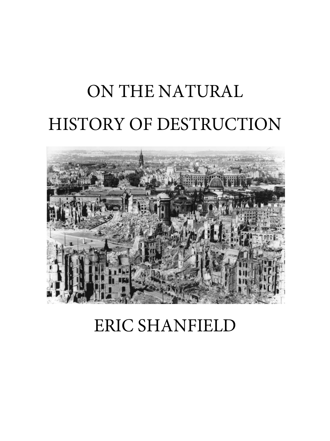

## ERIC SHANFIELD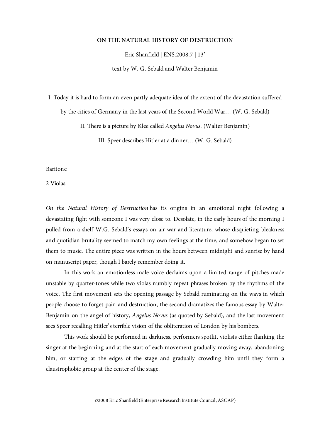Eric Shanfield | ENS.2008.7 | 13'

text by W. G. Sebald and Walter Benjamin

I. Today it is hard to form an even partly adequate idea of the extent of the devastation suffered

by the cities of Germany in the last years of the Second World War… (W. G. Sebald)

II. There is a picture by Klee called *Angelus Novus*. (Walter Benjamin)

III. Speer describes Hitler at a dinner… (W. G. Sebald)

Baritone

2 Violas

*On the Natural History of Destruction* has its origins in an emotional night following a devastating fight with someone I was very close to. Desolate, in the early hours of the morning I pulled from a shelf W.G. Sebald's essays on air war and literature, whose disquieting bleakness and quotidian brutality seemed to match my own feelings at the time, and somehow began to set them to music. The entire piece was written in the hours between midnight and sunrise by hand on manuscript paper, though I barely remember doing it.

In this work an emotionless male voice declaims upon a limited range of pitches made unstable by quarter-tones while two violas numbly repeat phrases broken by the rhythms of the voice. The first movement sets the opening passage by Sebald ruminating on the ways in which people choose to forget pain and destruction, the second dramatizes the famous essay by Walter Benjamin on the angel of history, *Angelus Novus* (as quoted by Sebald), and the last movement sees Speer recalling Hitler's terrible vision of the obliteration of London by his bombers.

This work should be performed in darkness, performers spotlit, violists either flanking the singer at the beginning and at the start of each movement gradually moving away, abandoning him, or starting at the edges of the stage and gradually crowding him until they form a claustrophobic group at the center of the stage.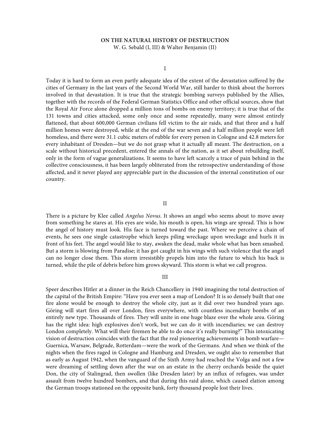#### **ON THE NATURAL HISTORY OF DESTRUCTION** W. G. Sebald (I, III) & Walter Benjamin (II)

#### I

Today it is hard to form an even partly adequate idea of the extent of the devastation suffered by the cities of Germany in the last years of the Second World War, still harder to think about the horrors involved in that devastation. It is true that the strategic bombing surveys published by the Allies, together with the records of the Federal German Statistics Office and other official sources, show that the Royal Air Force alone dropped a million tons of bombs on enemy territory; it is true that of the 131 towns and cities attacked, some only once and some repeatedly, many were almost entirely flattened, that about 600,000 German civilians fell victim to the air raids, and that three and a half million homes were destroyed, while at the end of the war seven and a half million people were left homeless, and there were 31.1 cubic meters of rubble for every person in Cologne and 42.8 meters for every inhabitant of Dresden—but we do not grasp what it actually all meant. The destruction, on a scale without historical precedent, entered the annals of the nation, as it set about rebuilding itself, only in the form of vague generalizations. It seems to have left scarcely a trace of pain behind in the collective consciousness, it has been largely obliterated from the retrospective understanding of those affected, and it never played any appreciable part in the discussion of the internal constitution of our country.

#### II

There is a picture by Klee called *Angelus Novus*. It shows an angel who seems about to move away from something he stares at. His eyes are wide, his mouth is open, his wings are spread. This is how the angel of history must look. His face is turned toward the past. Where we perceive a chain of events, he sees one single catastrophe which keeps piling wreckage upon wreckage and hurls it in front of his feet. The angel would like to stay, awaken the dead, make whole what has been smashed. But a storm is blowing from Paradise; it has got caught in his wings with such violence that the angel can no longer close them. This storm irresistibly propels him into the future to which his back is turned, while the pile of debris before him grows skyward. This storm is what we call progress.

#### III

Speer describes Hitler at a dinner in the Reich Chancellery in 1940 imagining the total destruction of the capital of the British Empire: "Have you ever seen a map of London? It is so densely built that one fire alone would be enough to destroy the whole city, just as it did over two hundred years ago. Göring will start fires all over London, fires everywhere, with countless incendiary bombs of an entirely new type. Thousands of fires. They will unite in one huge blaze over the whole area. Göring has the right idea: high explosives don't work, but we can do it with incendiaries; we can destroy London completely. What will their firemen be able to do once it's really burning?" This intoxicating vision of destruction coincides with the fact that the real pioneering achievements in bomb warfare— Guernica, Warsaw, Belgrade, Rotterdam—were the work of the Germans. And when we think of the nights when the fires raged in Cologne and Hamburg and Dresden, we ought also to remember that as early as August 1942, when the vanguard of the Sixth Army had reached the Volga and not a few were dreaming of settling down after the war on an estate in the cherry orchards beside the quiet Don, the city of Stalingrad, then swollen (like Dresden later) by an influx of refugees, was under assault from twelve hundred bombers, and that during this raid alone, which caused elation among the German troops stationed on the opposite bank, forty thousand people lost their lives.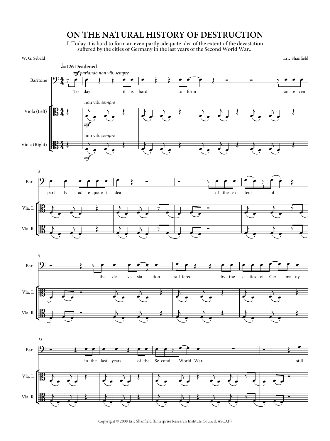I. Today it is hard to form an even partly adequate idea of the extent of the devastation suffered by the cities of Germany in the last years of the Second World War...

W. G. Sebald

Eric Shanfield



Copyright © 2008 Eric Shanfield (Enterprise Research Institute Council, ASCAP)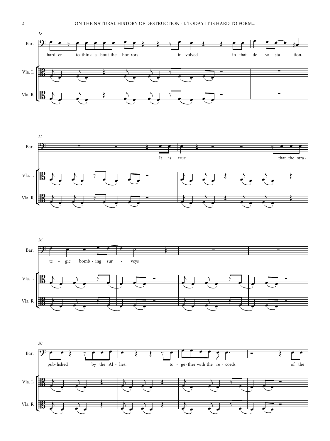





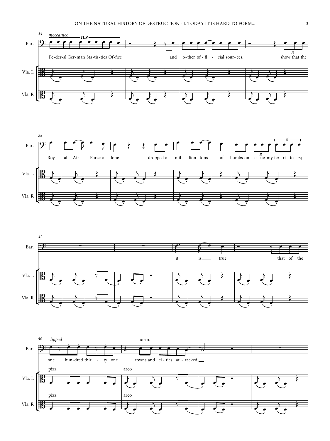





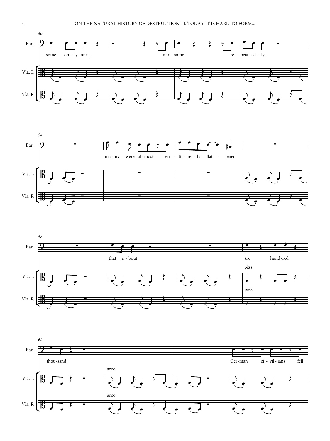





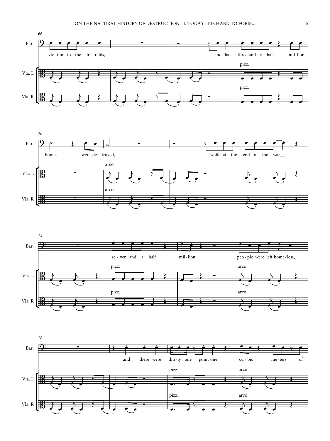





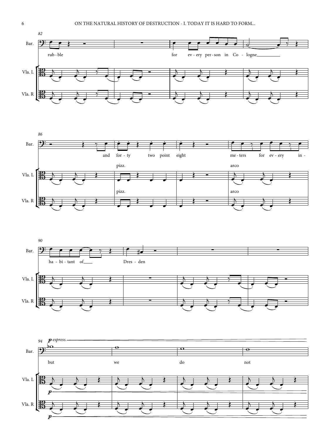





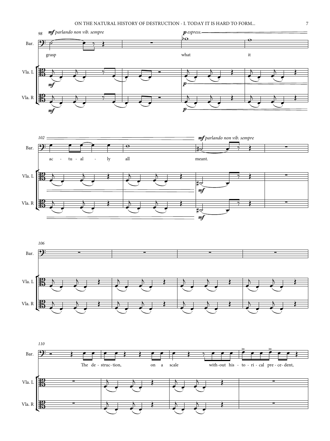ON THE NATURAL HISTORY OF DESTRUCTION - I. TODAY IT IS HARD TO FORM...







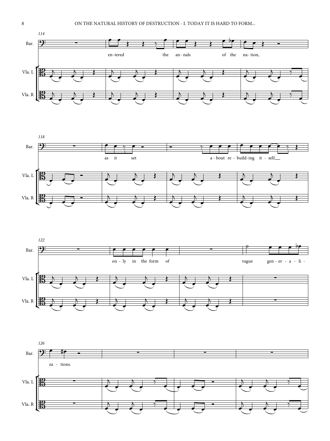





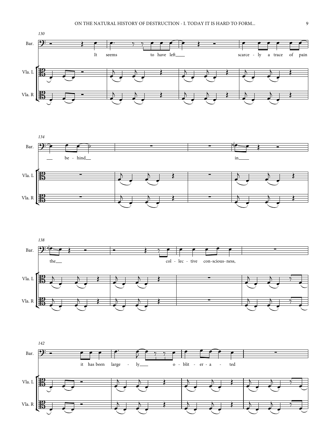





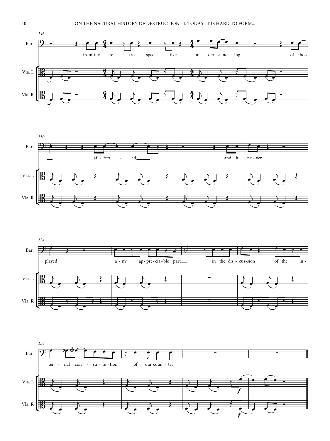





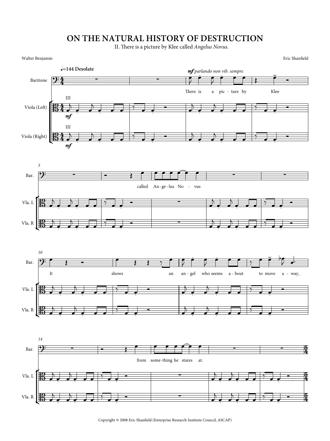II. There is a picture by Klee called *Angelus Novus*.

Walter Benjamin

Eric Shanfield

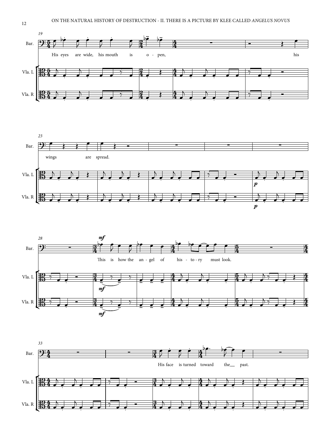





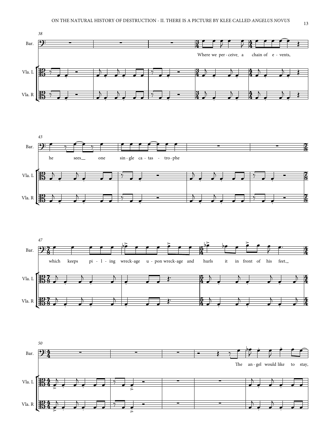





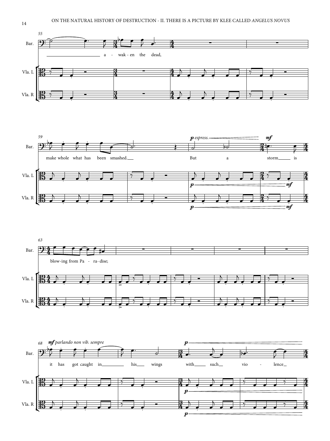





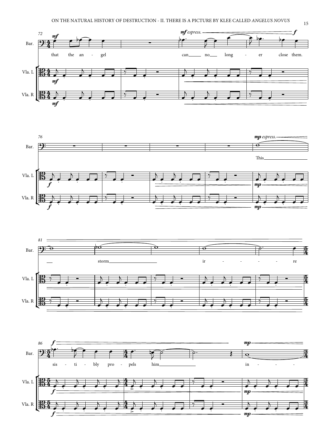







15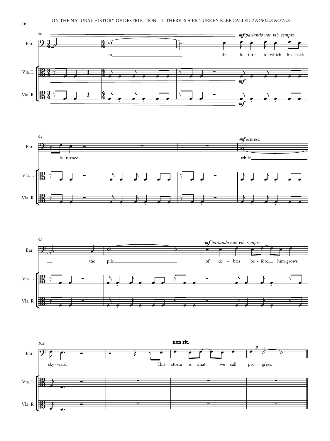





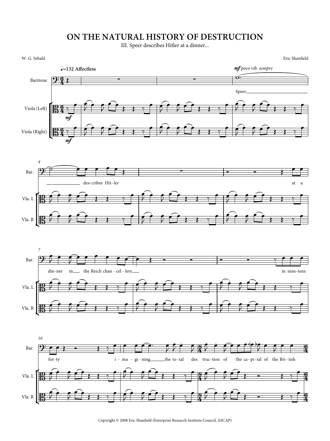III. Speer describes Hitler at a dinner...

W. G. Sebald Eric Shanfield **Eric Shanfield** 







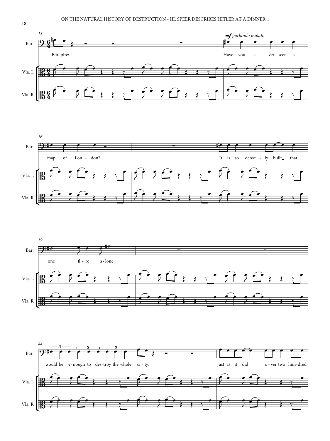





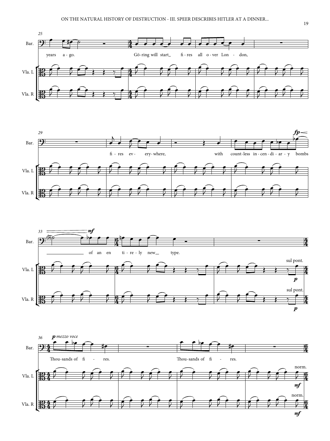





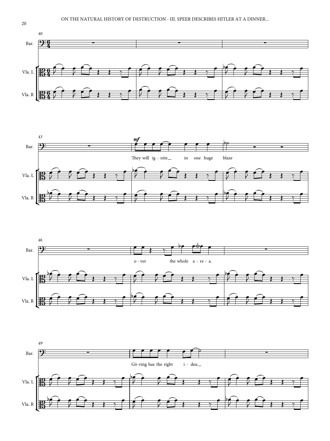





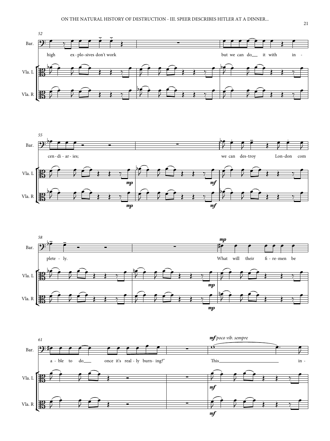





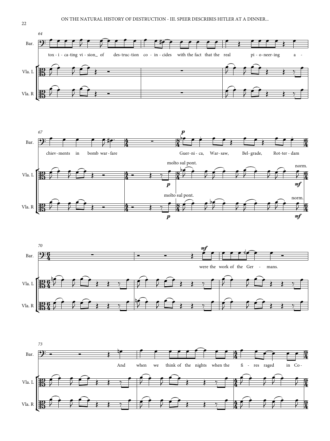





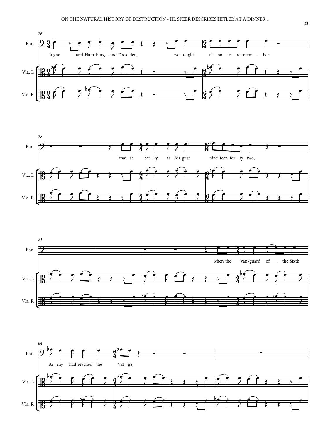





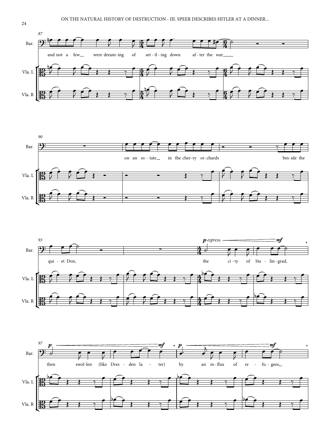